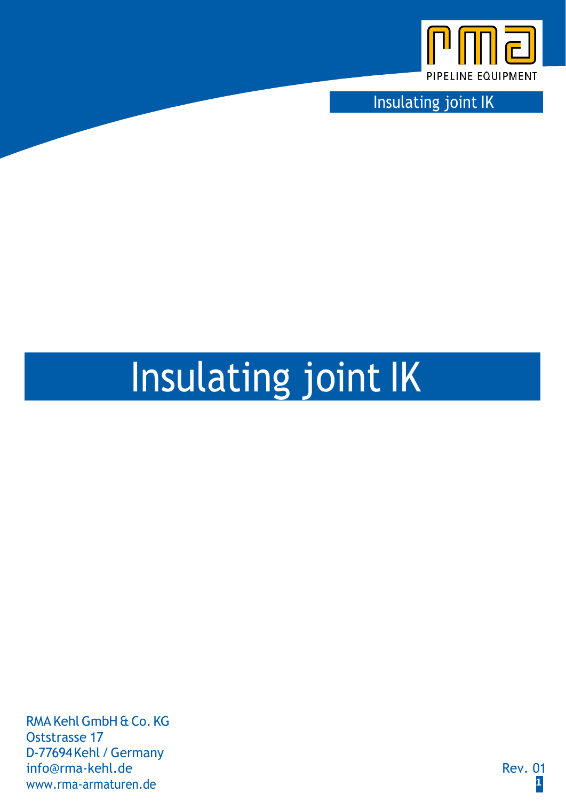

Insulating joint IK

# Insulating joint IK

RMA KehlGmbH & Co. KG Oststrasse 17 D-77694Kehl /Germany [info@rma-kehl.de](mailto:info@rma-kehl.de) Rev. 01 [www.rma-armaturen.de](http://www.rma-armaturen.de/) **1**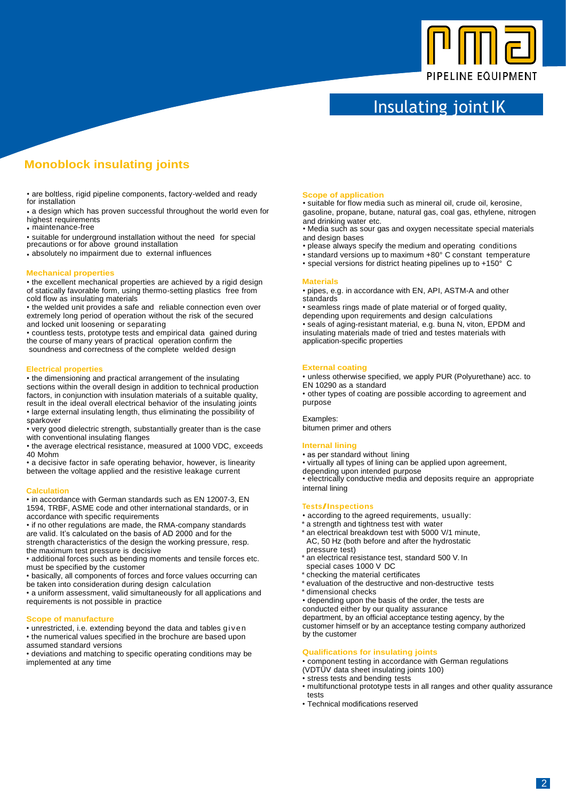

## Insulating joint IK

## **Monoblock insulating joints**

• are boltless, rigid pipeline components, factory-welded and ready **Scope of application**<br> **Scope of application**<br>
• suitable for flow media

• a design which has proven successful throughout the world even for gasoline, propane, butane, natural gas, coal gas, ethylene, nitrogen highest requirements highest requirements and drinking water etc.<br>
in maintenance-free services and drinking water etc.

• suitable for underground installation without the need for special and design bases precautions or for above ground installation • please always specify the medium and operating conditions

#### **Mechanical properties**

• the excellent mechanical properties are achieved by a rigid design of statically favorable form, using thermo-setting plastics free from • pipes, e.g. cold flow as insulating materials cold flow as insulating materials<br>
• the welded unit provides a safe and reliable connection even over<br>
• seamless rings made of plate material or of forged quality,

• the welded unit provides a safe and reliable connection even over • seamless rings made of plate material or of forged quality, extremely long period of operation without the risk of the secured epending upon requirement extremely long period of operation without the risk of the secured depending upon requirements and design calculations and locked unit loosening or separating • seals of aging-resistant material, e.g. buna N, viton, EPDM and

• countless tests, prototype tests and empirical data gained during insulating materials made of tried and testes materials with the course of many years of practical operation confirm the application-specific properties the course of many years of practical operation confirm the soundness and correctness of the complete welded design

#### **Electrical properties**

• the dimensioning and practical arrangement of the insulating sections within the overall design in addition to technical production factors, in conjunction with insulation materials of a suitable quality,

result in the ideal overall electrical behavior of the insulating joints • large external insulating length, thus eliminating the possibility of sparkover

• very good dielectric strength, substantially greater than is the case with conventional insulating flanges

• the average electrical resistance, measured at 1000 VDC, exceeds

• a decisive factor in safe operating behavior, however, is linearity between the voltage applied and the resistive leakage current

#### **Calculation**

• in accordance with German standards such as EN 12007-3, EN 1594, TRBF, ASME code and other international standards, or in accordance with specific requirements

• if no other regulations are made, the RMA-company standards are valid. It's calculated on the basis of AD 2000 and for the strength characteristics of the design the working pressure, resp.

the maximum test pressure is decisive • additional forces such as bending moments and tensile forces etc.

must be specified by the customer • basically, all components of forces and force values occurring can

be taken into consideration during design calculation

• a uniform assessment, valid simultaneously for all applications and requirements is not possible in practice

#### **Scope of manufacture**

• unrestricted, i.e. extending beyond the data and tables gi v e n • the numerical values specified in the brochure are based upon assumed standard versions

• deviations and matching to specific operating conditions may be implemented at any time

for installation<br>• suitable for flow media such as mineral oil, crude oil, kerosine, intro-<br>• a design which has proven successful throughout the world even for a soline, propane, butane, natural gas, coal gas, ethylene, n

• Media such as sour gas and oxygen necessitate special materials

- 
- absolutely no impairment due to external influences standard versions up to maximum +80° C constant temperature
	- special versions for district heating pipelines up to +150° C

**Materials**<br>• pipes, e.g. in accordance with EN, API, ASTM-A and other

### **External coating**

• unless otherwise specified, we apply PUR (Polyurethane) acc. to EN 10290 as a standard

• other types of coating are possible according to agreement and purpose

#### Examples:

bitumen primer and others

#### **Internal lining**

- 
- as per standard without lining<br>• virtually all types of lining can be applied upon agreement,
- 

depending upon intended purpose<br>• electrically conductive media and deposits require an appropriate internal lining

#### **Tests/Inspections**

- according to the agreed requirements, usually:
- \* a strength and tightness test with water
- \* an electrical breakdown test with 5000 V/1 minute, AC, 50 Hz (both before and after the hydrostatic pressure test)
- \* an electrical resistance test, standard 500 V. In special cases 1000 V DC
- checking the material certificates
- \* evaluation of the destructive and non-destructive tests
- \* dimensional checks

• depending upon the basis of the order, the tests are

conducted either by our quality assurance

department, by an official acceptance testing agency, by the customer himself or by an acceptance testing company authorized by the customer

#### **Qualifications for insulating joints**

• component testing in accordance with German regulations

- (VDTÜV data sheet insulating joints 100)
- stress tests and bending tests
- multifunctional prototype tests in all ranges and other quality assurance tests
- Technical modifications reserved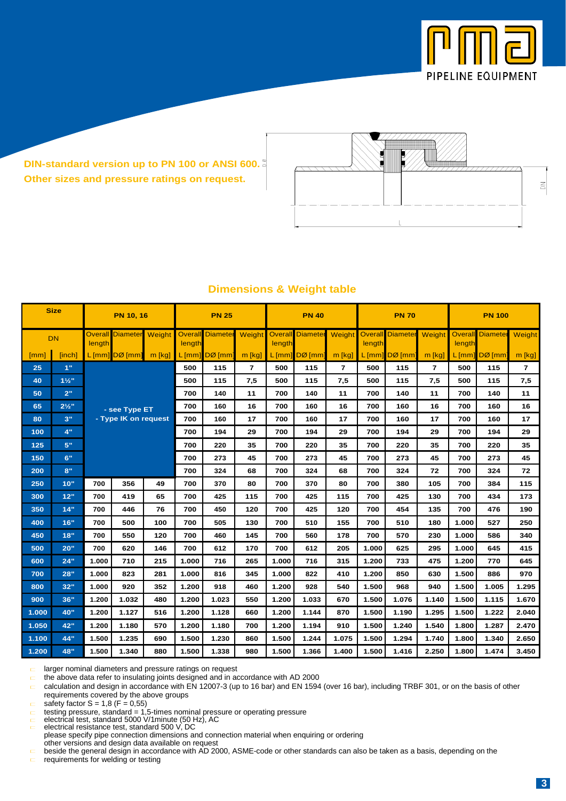

**DIN-standard version up to PN 100 or ANSI 600. Other sizes and pressure ratings on request.**



| <b>Size</b>        |                  | <b>PN 10, 16</b>                      |                    |        | <b>PN 25</b> |                         |                | <b>PN 40</b> |                         |        | <b>PN 70</b> |                         |          | <b>PN 100</b> |                         |        |
|--------------------|------------------|---------------------------------------|--------------------|--------|--------------|-------------------------|----------------|--------------|-------------------------|--------|--------------|-------------------------|----------|---------------|-------------------------|--------|
| <b>DN</b>          |                  | <b>Overall</b><br>length              | <b>Diameter</b>    | Weight | length       | <b>Overall Diameter</b> | <b>Weight</b>  | length       | <b>Overall Diameter</b> | Weight | length       | <b>Overall Diameter</b> | Weight   | length        | <b>Overall Diameter</b> | Weight |
| $\lceil mm \rceil$ | [inch]           |                                       | $L$ [mm] $DØ$ [mm] | m [kg] |              | $L$ [mm] $DØ$ [mm]      | $m$ [kg]       |              | $L$ [mm] $DØ$ [mm]      | m [kg] |              | $L$ [mm] $DØ$ [mm]      | $m$ [kg] |               | $L$ [mm] $DØ$ [mm]      | m [kg] |
| 25                 | 1"               |                                       |                    |        | 500          | 115                     | $\overline{7}$ | 500          | 115                     | 7      | 500          | 115                     | 7        | 500           | 115                     | 7      |
| 40                 | $1\frac{1}{2}$   | - see Type ET<br>- Type IK on request |                    |        | 500          | 115                     | 7,5            | 500          | 115                     | 7,5    | 500          | 115                     | 7,5      | 500           | 115                     | 7,5    |
| 50                 | 2"               |                                       |                    |        | 700          | 140                     | 11             | 700          | 140                     | 11     | 700          | 140                     | 11       | 700           | 140                     | 11     |
| 65                 | $2\frac{1}{2}$ " |                                       |                    |        | 700          | 160                     | 16             | 700          | 160                     | 16     | 700          | 160                     | 16       | 700           | 160                     | 16     |
| 80                 | 3"               |                                       |                    |        | 700          | 160                     | 17             | 700          | 160                     | 17     | 700          | 160                     | 17       | 700           | 160                     | 17     |
| 100                | 4"               |                                       |                    |        | 700          | 194                     | 29             | 700          | 194                     | 29     | 700          | 194                     | 29       | 700           | 194                     | 29     |
| 125                | 5"               |                                       |                    |        | 700          | 220                     | 35             | 700          | 220                     | 35     | 700          | 220                     | 35       | 700           | 220                     | 35     |
| 150                | 6"               |                                       |                    |        | 700          | 273                     | 45             | 700          | 273                     | 45     | 700          | 273                     | 45       | 700           | 273                     | 45     |
| 200                | 8"               |                                       |                    |        |              | 324                     | 68             | 700          | 324                     | 68     | 700          | 324                     | 72       | 700           | 324                     | 72     |
| 250                | 10"              | 700                                   | 356                | 49     | 700          | 370                     | 80             | 700          | 370                     | 80     | 700          | 380                     | 105      | 700           | 384                     | 115    |
| 300                | 12"              | 700                                   | 419                | 65     | 700          | 425                     | 115            | 700          | 425                     | 115    | 700          | 425                     | 130      | 700           | 434                     | 173    |
| 350                | 14"              | 700                                   | 446                | 76     | 700          | 450                     | 120            | 700          | 425                     | 120    | 700          | 454                     | 135      | 700           | 476                     | 190    |
| 400                | 16"              | 700                                   | 500                | 100    | 700          | 505                     | 130            | 700          | 510                     | 155    | 700          | 510                     | 180      | 1.000         | 527                     | 250    |
| 450                | 18"              | 700                                   | 550                | 120    | 700          | 460                     | 145            | 700          | 560                     | 178    | 700          | 570                     | 230      | 1.000         | 586                     | 340    |
| 500                | 20"              | 700                                   | 620                | 146    | 700          | 612                     | 170            | 700          | 612                     | 205    | 1.000        | 625                     | 295      | 1.000         | 645                     | 415    |
| 600                | 24"              | 1.000                                 | 710                | 215    | 1.000        | 716                     | 265            | 1.000        | 716                     | 315    | 1.200        | 733                     | 475      | 1.200         | 770                     | 645    |
| 700                | 28"              | 1.000                                 | 823                | 281    | 1.000        | 816                     | 345            | 1.000        | 822                     | 410    | 1.200        | 850                     | 630      | 1.500         | 886                     | 970    |
| 800                | 32"              | 1.000                                 | 920                | 352    | 1.200        | 918                     | 460            | 1.200        | 928                     | 540    | 1.500        | 968                     | 940      | 1.500         | 1.005                   | 1.295  |
| 900                | 36"              | 1.200                                 | 1.032              | 480    | 1.200        | 1.023                   | 550            | 1.200        | 1.033                   | 670    | 1.500        | 1.076                   | 1.140    | 1.500         | 1.115                   | 1.670  |
| 1.000              | 40"              | 1.200                                 | 1.127              | 516    | 1.200        | 1.128                   | 660            | 1.200        | 1.144                   | 870    | 1.500        | 1.190                   | 1.295    | 1.500         | 1.222                   | 2.040  |
| 1.050              | 42"              | 1.200                                 | 1.180              | 570    | 1.200        | 1.180                   | 700            | 1.200        | 1.194                   | 910    | 1.500        | 1.240                   | 1.540    | 1.800         | 1.287                   | 2.470  |
| 1.100              | 44"              | 1.500                                 | 1.235              | 690    | 1.500        | 1.230                   | 860            | 1.500        | 1.244                   | 1.075  | 1.500        | 1.294                   | 1.740    | 1.800         | 1.340                   | 2.650  |
| 1.200              | 48"              | 1.500                                 | 1.340              | 880    | 1.500        | 1.338                   | 980            | 1.500        | 1.366                   | 1.400  | 1.500        | 1.416                   | 2.250    | 1.800         | 1.474                   | 3.450  |

## **Dimensions & Weight table**

larger nominal diameters and pressure ratings on request

the above data refer to insulating joints designed and in accordance with AD 2000<br>calculation and design in accordance with EN 12007-3 (up to 16 bar) and EN 1594 (over 16 bar), including TRBF 301, or on the basis of other calculation and design in accordance with EN 12007-3 (up to 16 bar) and EN 1594 (over 16 bar), including TRBF 301, or on the basis of other requirements covered by the above groups

safety factor  $S = 1,8$  (F = 0,55)

 $\equiv$ testing pressure, standard = 1,5-times nominal pressure or operating pressure electrical test, standard 5000 V/1minute (50 Hz), AC electrical resistance test, standard 500 V, DC

please specify pipe connection dimensions and connection material when enquiring or ordering other versions and design data available on request

beside the general design in accordance with AD 2000, ASME-code or other standards can also be taken as a basis, depending on the requirements for welding or testing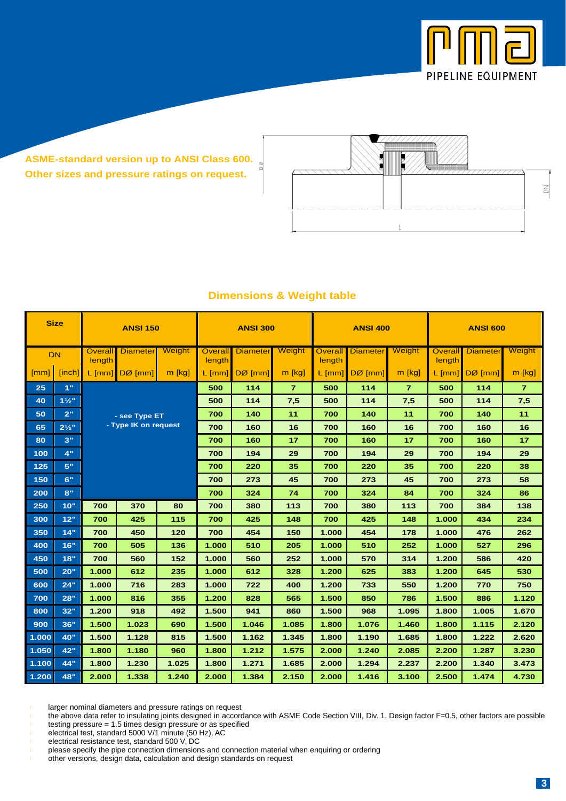

**ASME-standard version up to ANSI Class 600. Other sizes and pressure ratings on request.**



| <b>Size</b> |                  | <b>ANSI 150</b>          |                      |          | <b>ANSI 300</b>          |                 |                |                   | <b>ANSI 400</b> |                | <b>ANSI 600</b>          |                 |                |
|-------------|------------------|--------------------------|----------------------|----------|--------------------------|-----------------|----------------|-------------------|-----------------|----------------|--------------------------|-----------------|----------------|
| <b>DN</b>   |                  | <b>Overall</b><br>length | <b>Diameter</b>      | Weight   | <b>Overall</b><br>length | <b>Diameter</b> | Weight         | Overall<br>length | <b>Diameter</b> | Weight         | <b>Overall</b><br>length | <b>Diameter</b> | Weight         |
| [mm]        | [inch]           | $L$ [mm]                 | $DØ$ [mm]            | $m$ [kg] | $L$ [mm]                 | $DØ$ [mm]       | $m$ [kg]       | $L$ [mm]          | $DØ$ [mm]       | $m$ [kg]       | $L$ [mm]                 | $DØ$ [mm]       | $m$ [kg]       |
| 25          | 1"               |                          |                      |          | 500                      | 114             | $\overline{7}$ | 500               | 114             | $\overline{7}$ | 500                      | 114             | $\overline{7}$ |
| 40          | $1\frac{1}{2}$   |                          |                      |          | 500                      | 114             | 7,5            | 500               | 114             | 7,5            | 500                      | 114             | 7,5            |
| 50          | 2"               |                          | - see Type ET        |          | 700                      | 140             | 11             | 700               | 140             | 11             | 700                      | 140             | 11             |
| 65          | $2\frac{1}{2}$ " |                          | - Type IK on request |          | 700                      | 160             | 16             | 700               | 160             | 16             | 700                      | 160             | 16             |
| 80          | 3"               |                          |                      |          | 700                      | 160             | 17             | 700               | 160             | 17             | 700                      | 160             | 17             |
| 100         | 4"               |                          |                      |          | 700                      | 194             | 29             | 700               | 194             | 29             | 700                      | 194             | 29             |
| 125         | 5"               |                          |                      |          | 700                      | 220             | 35             | 700               | 220             | 35             | 700                      | 220             | 38             |
| 150         | 6"               |                          |                      |          | 700                      | 273             | 45             | 700               | 273             | 45             | 700                      | 273             | 58             |
| 200         | 8"               |                          |                      |          | 700                      | 324             | 74             | 700               | 324             | 84             | 700                      | 324             | 86             |
| 250         | 10"              | 700                      | 370                  | 80       | 700                      | 380             | 113            | 700               | 380             | 113            | 700                      | 384             | 138            |
| 300         | 12"              | 700                      | 425                  | 115      | 700                      | 425             | 148            | 700               | 425             | 148            | 1.000                    | 434             | 234            |
| 350         | 14"              | 700                      | 450                  | 120      | 700                      | 454             | 150            | 1.000             | 454             | 178            | 1.000                    | 476             | 262            |
| 400         | 16"              | 700                      | 505                  | 136      | 1.000                    | 510             | 205            | 1.000             | 510             | 252            | 1.000                    | 527             | 296            |
| 450         | 18"              | 152<br>700<br>560        |                      | 1.000    | 560                      | 252             | 1.000          | 570               | 314             | 1.200          | 586                      | 420             |                |
| 500         | 20"              | 1.000                    | 612                  | 235      | 1.000                    | 612             | 328            | 1.200             | 625             | 383            | 1.200                    | 645             | 530            |
| 600         | 24"              | 1.000                    | 716                  | 283      | 1.000                    | 722             | 400            | 1.200             | 733             | 550            | 1.200                    | 770             | 750            |
| 700         | 28"              | 1.000                    | 816                  | 355      | 1.200                    | 828             | 565            | 1.500             | 850             | 786            | 1.500                    | 886             | 1.120          |
| 800         | 32"              | 1.200                    | 918                  | 492      | 1.500                    | 941             | 860            | 1.500             | 968             | 1.095          | 1.800                    | 1.005           | 1.670          |
| 900         | 36"              | 1.500                    | 1.023                | 690      | 1.500                    | 1.046           | 1.085          | 1.800             | 1.076           | 1.460          | 1.800                    | 1.115           | 2.120          |
| 1.000       | 40"              | 1.500                    | 1.128                | 815      | 1.500                    | 1.162           | 1.345          | 1.800             | 1.190           | 1.685          | 1.800                    | 1.222           | 2.620          |
| 1.050       | 42"              | 1.800                    | 1.180                | 960      | 1.800                    | 1.212           | 1.575          | 2.000             | 1.240           | 2.085          | 2.200                    | 1.287           | 3.230          |
| 1.100       | 44"              | 1.800                    | 1.230                | 1.025    | 1.800                    | 1.271           | 1.685          | 2.000             | 1.294           | 2.237          | 2.200                    | 1.340           | 3.473          |
| 1.200       | 48"              | 2.000                    | 1.338                | 1.240    | 2.000                    | 1.384           | 2.150          | 2.000             | 1.416           | 3.100          | 2.500                    | 1.474           | 4.730          |

## **Dimensions & Weight table**

larger nominal diameters and pressure ratings on request

the above data refer to insulating joints designed in accordance with ASME Code Section VIII, Div. 1. Design factor F=0.5, other factors are possible testing pressure = 1.5 times design pressure or as specified

electrical test, standard 5000 V/1 minute (50 Hz), AC

electrical resistance test, standard 500 V, DC

other versions, design data, calculation and design standards on request

please specify the pipe connection dimensions and connection material when enquiring or ordering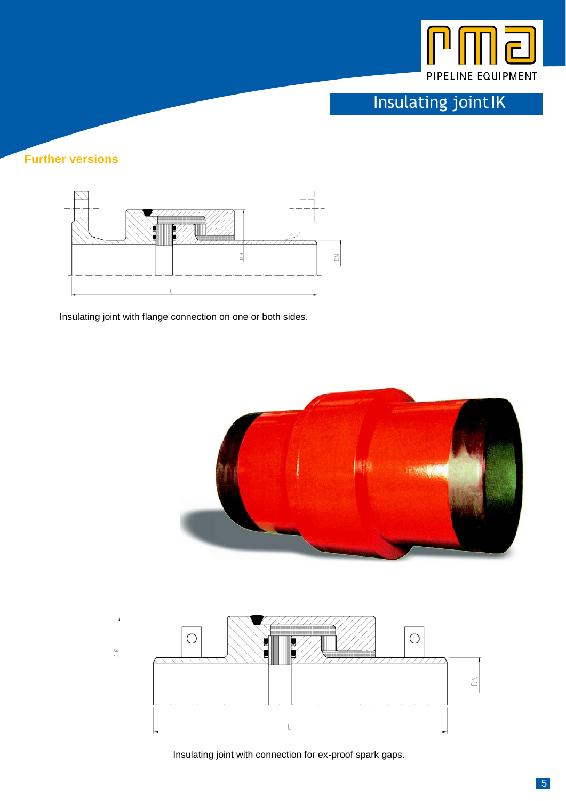

Insulating jointIK

## **Further versions**



Insulating joint with flange connection on one or both sides.





Insulating joint with connection for ex-proof spark gaps.